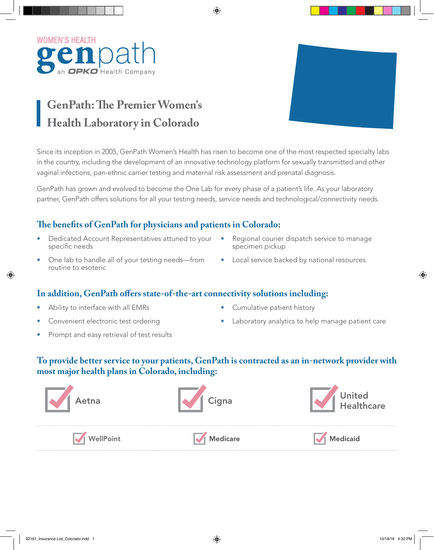

# **GenPath: The Premier Women's Health Laboratory in Colorado**

Since its inception in 2005, GenPath Women's Health has risen to become one of the most respected specialty labs in the country, including the development of an innovative technology platform for sexually transmitted and other vaginal infections, pan-ethnic carrier testing and maternal risk assessment and prenatal diagnosis.

GenPath has grown and evolved to become the One Lab for every phase of a patient's life. As your laboratory partner, GenPath offers solutions for all your testing needs, service needs and technological/connectivity needs.

## **The benefits of GenPath for physicians and patients in Colorado:**

- Dedicated Account Representatives attuned to your specific needs
- One lab to handle all of your testing needs—from routine to esoteric
- Regional courier dispatch service to manage specimen pickup
- Local service backed by national resources

#### **In addition, GenPath offers state-of-the-art connectivity solutions including:**

- Ability to interface with all EMRs
- Convenient electronic test ordering
- Cumulative patient history
- Laboratory analytics to help manage patient care
- Prompt and easy retrieval of test results

## **To provide better service to your patients, GenPath is contracted as an in-network provider with most major health plans in Colorado, including:**